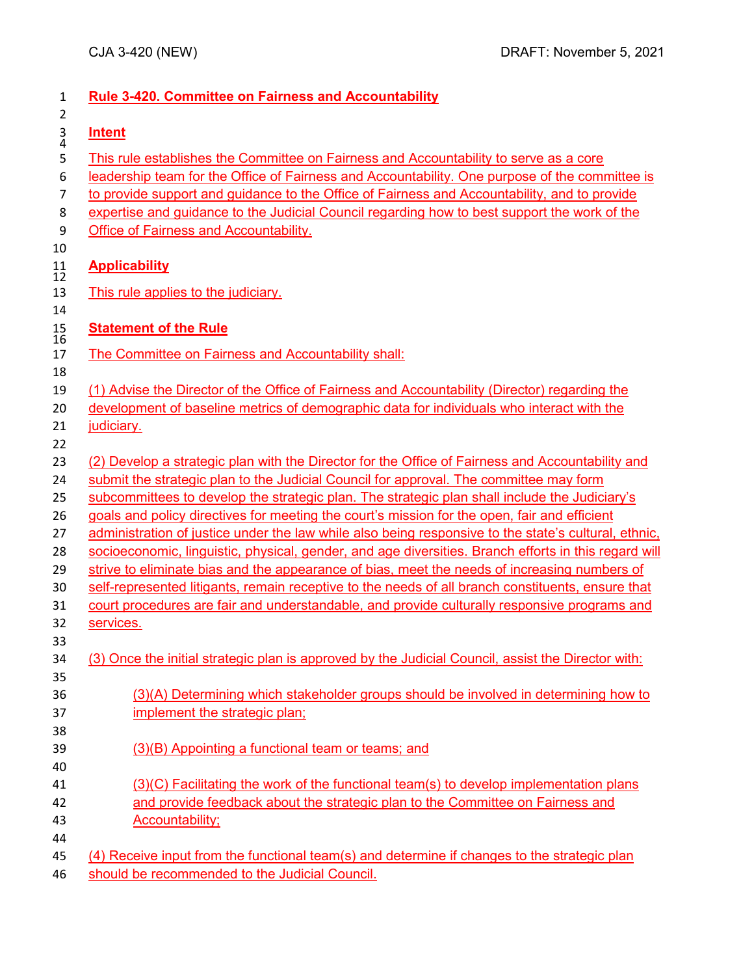| $\mathbf{1}$                    | <b>Rule 3-420. Committee on Fairness and Accountability</b>                                                                                                                             |
|---------------------------------|-----------------------------------------------------------------------------------------------------------------------------------------------------------------------------------------|
| $\overline{2}$<br>$\frac{3}{4}$ | <b>Intent</b>                                                                                                                                                                           |
| 5<br>6                          | This rule establishes the Committee on Fairness and Accountability to serve as a core<br>leadership team for the Office of Fairness and Accountability. One purpose of the committee is |
| $\overline{7}$                  | to provide support and guidance to the Office of Fairness and Accountability, and to provide                                                                                            |
| 8<br>9                          | expertise and guidance to the Judicial Council regarding how to best support the work of the<br><b>Office of Fairness and Accountability.</b>                                           |
| 10                              |                                                                                                                                                                                         |
| 11<br>12                        | <b>Applicability</b>                                                                                                                                                                    |
| 13                              | This rule applies to the judiciary.                                                                                                                                                     |
| 14                              |                                                                                                                                                                                         |
| 15<br>16                        | <b>Statement of the Rule</b>                                                                                                                                                            |
| 17                              | The Committee on Fairness and Accountability shall:                                                                                                                                     |
| 18                              |                                                                                                                                                                                         |
| 19                              | (1) Advise the Director of the Office of Fairness and Accountability (Director) regarding the                                                                                           |
| 20                              | development of baseline metrics of demographic data for individuals who interact with the                                                                                               |
| 21                              | judiciary.                                                                                                                                                                              |
| 22<br>23                        | (2) Develop a strategic plan with the Director for the Office of Fairness and Accountability and                                                                                        |
| 24                              | submit the strategic plan to the Judicial Council for approval. The committee may form                                                                                                  |
| 25                              | subcommittees to develop the strategic plan. The strategic plan shall include the Judiciary's                                                                                           |
| 26                              | goals and policy directives for meeting the court's mission for the open, fair and efficient                                                                                            |
| 27                              | administration of justice under the law while also being responsive to the state's cultural, ethnic,                                                                                    |
| 28                              | socioeconomic, linguistic, physical, gender, and age diversities. Branch efforts in this regard will                                                                                    |
| 29                              | strive to eliminate bias and the appearance of bias, meet the needs of increasing numbers of                                                                                            |
| 30                              | self-represented litigants, remain receptive to the needs of all branch constituents, ensure that                                                                                       |
| 31<br>32                        | court procedures are fair and understandable, and provide culturally responsive programs and<br>services.                                                                               |
| 33                              |                                                                                                                                                                                         |
| 34                              | (3) Once the initial strategic plan is approved by the Judicial Council, assist the Director with:                                                                                      |
| 35                              |                                                                                                                                                                                         |
| 36                              | (3)(A) Determining which stakeholder groups should be involved in determining how to                                                                                                    |
| 37                              | implement the strategic plan;                                                                                                                                                           |
| 38                              |                                                                                                                                                                                         |
| 39                              | (3)(B) Appointing a functional team or teams; and                                                                                                                                       |
| 40                              |                                                                                                                                                                                         |
| 41                              | $(3)(C)$ Facilitating the work of the functional team(s) to develop implementation plans                                                                                                |
| 42                              | and provide feedback about the strategic plan to the Committee on Fairness and                                                                                                          |
| 43                              | <b>Accountability;</b>                                                                                                                                                                  |
| 44<br>45                        | (4) Receive input from the functional team(s) and determine if changes to the strategic plan                                                                                            |
|                                 |                                                                                                                                                                                         |
| 46                              | should be recommended to the Judicial Council.                                                                                                                                          |